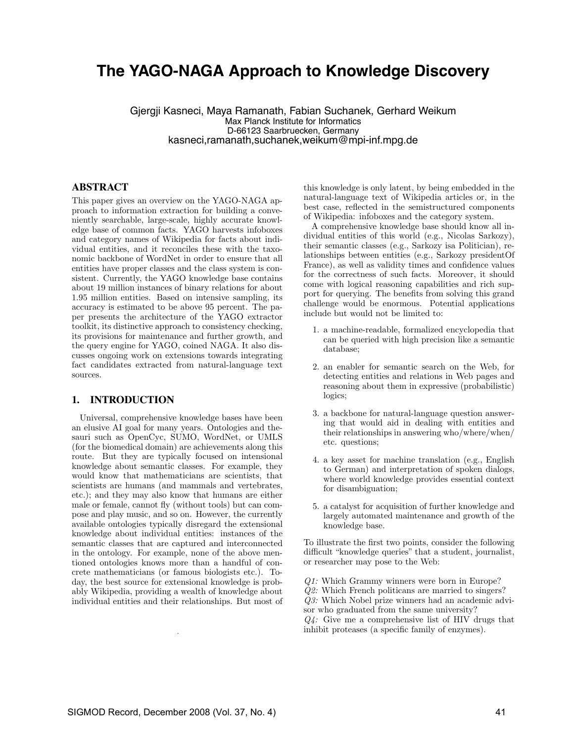# **The YAGO-NAGA Approach to Knowledge Discovery**

Gjergji Kasneci, Maya Ramanath, Fabian Suchanek, Gerhard Weikum Max Planck Institute for Informatics D-66123 Saarbruecken, Germany kasneci,ramanath,suchanek,weikum@mpi-inf.mpg.de

## **ABSTRACT**

This paper gives an overview on the YAGO-NAGA approach to information extraction for building a conveniently searchable, large-scale, highly accurate knowledge base of common facts. YAGO harvests infoboxes and category names of Wikipedia for facts about individual entities, and it reconciles these with the taxonomic backbone of WordNet in order to ensure that all entities have proper classes and the class system is consistent. Currently, the YAGO knowledge base contains about 19 million instances of binary relations for about 1.95 million entities. Based on intensive sampling, its accuracy is estimated to be above 95 percent. The paper presents the architecture of the YAGO extractor toolkit, its distinctive approach to consistency checking, its provisions for maintenance and further growth, and the query engine for YAGO, coined NAGA. It also discusses ongoing work on extensions towards integrating fact candidates extracted from natural-language text sources.

### **1. INTRODUCTION**

Universal, comprehensive knowledge bases have been an elusive AI goal for many years. Ontologies and thesauri such as OpenCyc, SUMO, WordNet, or UMLS (for the biomedical domain) are achievements along this route. But they are typically focused on intensional knowledge about semantic classes. For example, they would know that mathematicians are scientists, that scientists are humans (and mammals and vertebrates, etc.); and they may also know that humans are either male or female, cannot fly (without tools) but can compose and play music, and so on. However, the currently available ontologies typically disregard the extensional knowledge about individual entities: instances of the semantic classes that are captured and interconnected in the ontology. For example, none of the above mentioned ontologies knows more than a handful of concrete mathematicians (or famous biologists etc.). Today, the best source for extensional knowledge is probably Wikipedia, providing a wealth of knowledge about individual entities and their relationships. But most of this knowledge is only latent, by being embedded in the natural-language text of Wikipedia articles or, in the best case, reflected in the semistructured components of Wikipedia: infoboxes and the category system.

A comprehensive knowledge base should know all individual entities of this world (e.g., Nicolas Sarkozy), their semantic classes (e.g., Sarkozy isa Politician), relationships between entities (e.g., Sarkozy presidentOf France), as well as validity times and confidence values for the correctness of such facts. Moreover, it should come with logical reasoning capabilities and rich support for querying. The benefits from solving this grand challenge would be enormous. Potential applications include but would not be limited to:

- 1. a machine-readable, formalized encyclopedia that can be queried with high precision like a semantic database;
- 2. an enabler for semantic search on the Web, for detecting entities and relations in Web pages and reasoning about them in expressive (probabilistic) logics;
- 3. a backbone for natural-language question answering that would aid in dealing with entities and their relationships in answering who/where/when/ etc. questions;
- 4. a key asset for machine translation (e.g., English to German) and interpretation of spoken dialogs, where world knowledge provides essential context for disambiguation;
- 5. a catalyst for acquisition of further knowledge and largely automated maintenance and growth of the knowledge base.

To illustrate the first two points, consider the following difficult "knowledge queries" that a student, journalist, or researcher may pose to the Web:

*Q1:* Which Grammy winners were born in Europe? *Q2:* Which French politicans are married to singers? *Q3:* Which Nobel prize winners had an academic advisor who graduated from the same university? *Q4:* Give me a comprehensive list of HIV drugs that inhibit proteases (a specific family of enzymes).

.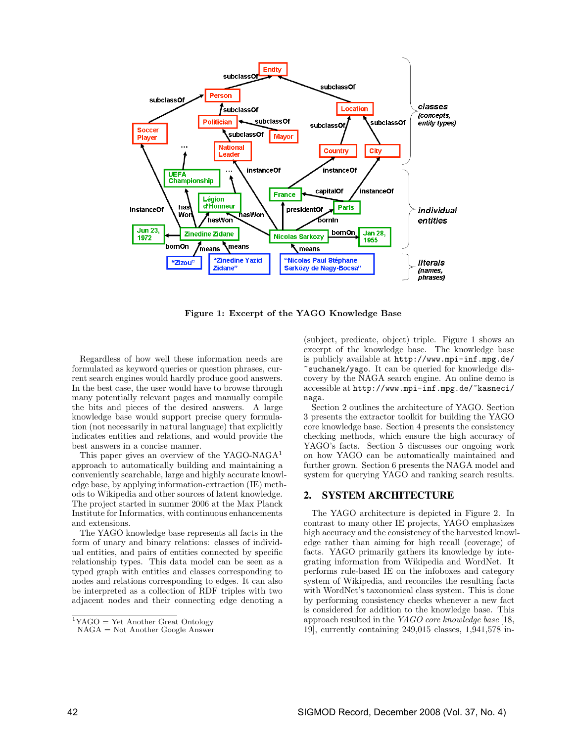

Figure 1: Excerpt of the YAGO Knowledge Base

Regardless of how well these information needs are formulated as keyword queries or question phrases, current search engines would hardly produce good answers. In the best case, the user would have to browse through many potentially relevant pages and manually compile the bits and pieces of the desired answers. A large knowledge base would support precise query formulation (not necessarily in natural language) that explicitly indicates entities and relations, and would provide the best answers in a concise manner.

This paper gives an overview of the YAGO-NAGA<sup>1</sup> approach to automatically building and maintaining a conveniently searchable, large and highly accurate knowledge base, by applying information-extraction (IE) methods to Wikipedia and other sources of latent knowledge. The project started in summer 2006 at the Max Planck Institute for Informatics, with continuous enhancements and extensions.

The YAGO knowledge base represents all facts in the form of unary and binary relations: classes of individual entities, and pairs of entities connected by specific relationship types. This data model can be seen as a typed graph with entities and classes corresponding to nodes and relations corresponding to edges. It can also be interpreted as a collection of RDF triples with two adjacent nodes and their connecting edge denoting a

(subject, predicate, object) triple. Figure 1 shows an excerpt of the knowledge base. The knowledge base is publicly available at http://www.mpi-inf.mpg.de/ ~suchanek/yago. It can be queried for knowledge discovery by the NAGA search engine. An online demo is accessible at http://www.mpi-inf.mpg.de/~kasneci/ naga.

Section 2 outlines the architecture of YAGO. Section 3 presents the extractor toolkit for building the YAGO core knowledge base. Section 4 presents the consistency checking methods, which ensure the high accuracy of YAGO's facts. Section 5 discusses our ongoing work on how YAGO can be automatically maintained and further grown. Section 6 presents the NAGA model and system for querying YAGO and ranking search results.

## **2. SYSTEM ARCHITECTURE**

The YAGO architecture is depicted in Figure 2. In contrast to many other IE projects, YAGO emphasizes high accuracy and the consistency of the harvested knowledge rather than aiming for high recall (coverage) of facts. YAGO primarily gathers its knowledge by integrating information from Wikipedia and WordNet. It performs rule-based IE on the infoboxes and category system of Wikipedia, and reconciles the resulting facts with WordNet's taxonomical class system. This is done by performing consistency checks whenever a new fact is considered for addition to the knowledge base. This approach resulted in the *YAGO core knowledge base* [18, 19], currently containing 249,015 classes, 1,941,578 in-

 ${}^{1}YAGO =$  Yet Another Great Ontology

NAGA = Not Another Google Answer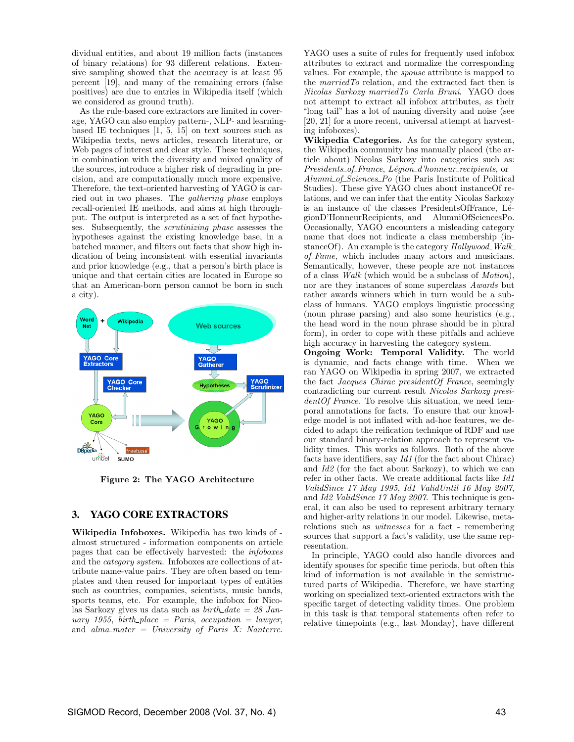dividual entities, and about 19 million facts (instances of binary relations) for 93 different relations. Extensive sampling showed that the accuracy is at least 95 percent [19], and many of the remaining errors (false positives) are due to entries in Wikipedia itself (which we considered as ground truth).

As the rule-based core extractors are limited in coverage, YAGO can also employ pattern-, NLP- and learningbased IE techniques [1, 5, 15] on text sources such as Wikipedia texts, news articles, research literature, or Web pages of interest and clear style. These techniques, in combination with the diversity and mixed quality of the sources, introduce a higher risk of degrading in precision, and are computationally much more expensive. Therefore, the text-oriented harvesting of YAGO is carried out in two phases. The *gathering phase* employs recall-oriented IE methods, and aims at high throughput. The output is interpreted as a set of fact hypotheses. Subsequently, the *scrutinizing phase* assesses the hypotheses against the existing knowledge base, in a batched manner, and filters out facts that show high indication of being inconsistent with essential invariants and prior knowledge (e.g., that a person's birth place is unique and that certain cities are located in Europe so that an American-born person cannot be born in such a city).



Figure 2: The YAGO Architecture

## **3. YAGO CORE EXTRACTORS**

Wikipedia Infoboxes. Wikipedia has two kinds of almost structured - information components on article pages that can be effectively harvested: the *infoboxes* and the *category system*. Infoboxes are collections of attribute name-value pairs. They are often based on templates and then reused for important types of entities such as countries, companies, scientists, music bands, sports teams, etc. For example, the infobox for Nicolas Sarkozy gives us data such as *birth date = 28 Jan* $uary$  1955,  $birth\_place = Paris$ ,  $occupation = lawyer$ , and *alma mater = University of Paris X: Nanterre*.

YAGO uses a suite of rules for frequently used infobox attributes to extract and normalize the corresponding values. For example, the *spouse* attribute is mapped to the *marriedTo* relation, and the extracted fact then is *Nicolas Sarkozy marriedTo Carla Bruni*. YAGO does not attempt to extract all infobox attributes, as their "long tail" has a lot of naming diversity and noise (see [20, 21] for a more recent, universal attempt at harvesting infoboxes).

Wikipedia Categories. As for the category system, the Wikipedia community has manually placed (the article about) Nicolas Sarkozy into categories such as: *Presidents of France*, *L´egion d'honneur recipients*, or *Alumni of Sciences Po* (the Paris Institute of Political Studies). These give YAGO clues about instanceOf relations, and we can infer that the entity Nicolas Sarkozy is an instance of the classes PresidentsOfFrance, LégionD'HonneurRecipients, and AlumniOfSciencesPo. Occasionally, YAGO encounters a misleading category name that does not indicate a class membership (instanceOf). An example is the category *Hollywood\_Walk\_ of Fame*, which includes many actors and musicians. Semantically, however, these people are not instances of a class *Walk* (which would be a subclass of *Motion*), nor are they instances of some superclass *Awards* but rather awards winners which in turn would be a subclass of humans. YAGO employs linguistic processing (noun phrase parsing) and also some heuristics (e.g., the head word in the noun phrase should be in plural form), in order to cope with these pitfalls and achieve high accuracy in harvesting the category system.

Ongoing Work: Temporal Validity. The world is dynamic, and facts change with time. When we ran YAGO on Wikipedia in spring 2007, we extracted the fact *Jacques Chirac presidentOf France*, seemingly contradicting our current result *Nicolas Sarkozy presidentOf France*. To resolve this situation, we need temporal annotations for facts. To ensure that our knowledge model is not inflated with ad-hoc features, we decided to adapt the reification technique of RDF and use our standard binary-relation approach to represent validity times. This works as follows. Both of the above facts have identifiers, say *Id1* (for the fact about Chirac) and *Id2* (for the fact about Sarkozy), to which we can refer in other facts. We create additional facts like *Id1 ValidSince 17 May 1995*, *Id1 ValidUntil 16 May 2007*, and *Id2 ValidSince 17 May 2007*. This technique is general, it can also be used to represent arbitrary ternary and higher-arity relations in our model. Likewise, metarelations such as *witnesses* for a fact - remembering sources that support a fact's validity, use the same representation.

In principle, YAGO could also handle divorces and identify spouses for specific time periods, but often this kind of information is not available in the semistructured parts of Wikipedia. Therefore, we have starting working on specialized text-oriented extractors with the specific target of detecting validity times. One problem in this task is that temporal statements often refer to relative timepoints (e.g., last Monday), have different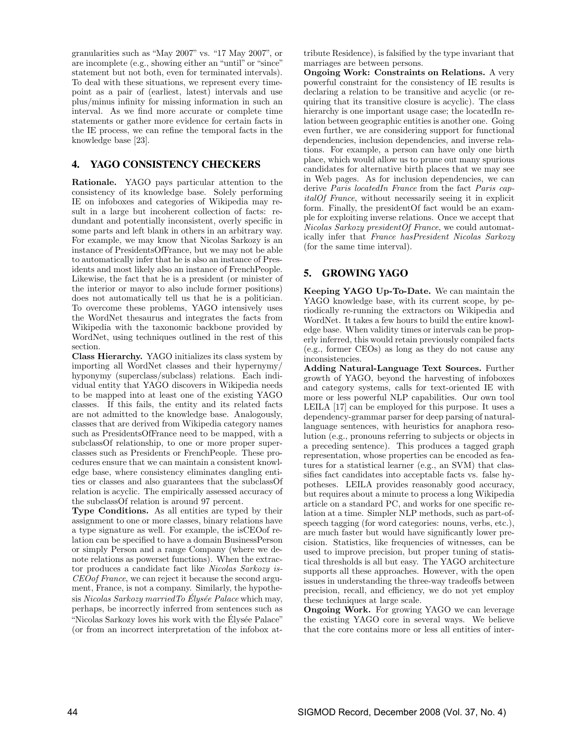granularities such as "May 2007" vs. "17 May 2007", or are incomplete (e.g., showing either an "until" or "since" statement but not both, even for terminated intervals). To deal with these situations, we represent every timepoint as a pair of (earliest, latest) intervals and use plus/minus infinity for missing information in such an interval. As we find more accurate or complete time statements or gather more evidence for certain facts in the IE process, we can refine the temporal facts in the knowledge base [23].

## **4. YAGO CONSISTENCY CHECKERS**

Rationale. YAGO pays particular attention to the consistency of its knowledge base. Solely performing IE on infoboxes and categories of Wikipedia may result in a large but incoherent collection of facts: redundant and potentially inconsistent, overly specific in some parts and left blank in others in an arbitrary way. For example, we may know that Nicolas Sarkozy is an instance of PresidentsOfFrance, but we may not be able to automatically infer that he is also an instance of Presidents and most likely also an instance of FrenchPeople. Likewise, the fact that he is a president (or minister of the interior or mayor to also include former positions) does not automatically tell us that he is a politician. To overcome these problems, YAGO intensively uses the WordNet thesaurus and integrates the facts from Wikipedia with the taxonomic backbone provided by WordNet, using techniques outlined in the rest of this section.

Class Hierarchy. YAGO initializes its class system by importing all WordNet classes and their hypernymy/ hyponymy (superclass/subclass) relations. Each individual entity that YAGO discovers in Wikipedia needs to be mapped into at least one of the existing YAGO classes. If this fails, the entity and its related facts are not admitted to the knowledge base. Analogously, classes that are derived from Wikipedia category names such as PresidentsOfFrance need to be mapped, with a subclassOf relationship, to one or more proper superclasses such as Presidents or FrenchPeople. These procedures ensure that we can maintain a consistent knowledge base, where consistency eliminates dangling entities or classes and also guarantees that the subclassOf relation is acyclic. The empirically assessed accuracy of the subclassOf relation is around 97 percent.

Type Conditions. As all entities are typed by their assignment to one or more classes, binary relations have a type signature as well. For example, the isCEOof relation can be specified to have a domain BusinessPerson or simply Person and a range Company (where we denote relations as powerset functions). When the extractor produces a candidate fact like *Nicolas Sarkozy is-CEOof France*, we can reject it because the second argument, France, is not a company. Similarly, the hypothesis *Nicolas Sarkozy marriedTo Elys ´ ´ee Palace* which may, perhaps, be incorrectly inferred from sentences such as "Nicolas Sarkozy loves his work with the Elysée Palace" (or from an incorrect interpretation of the infobox attribute Residence), is falsified by the type invariant that marriages are between persons.

Ongoing Work: Constraints on Relations. A very powerful constraint for the consistency of IE results is declaring a relation to be transitive and acyclic (or requiring that its transitive closure is acyclic). The class hierarchy is one important usage case; the locatedIn relation between geographic entities is another one. Going even further, we are considering support for functional dependencies, inclusion dependencies, and inverse relations. For example, a person can have only one birth place, which would allow us to prune out many spurious candidates for alternative birth places that we may see in Web pages. As for inclusion dependencies, we can derive *Paris locatedIn France* from the fact *Paris capitalOf France*, without necessarily seeing it in explicit form. Finally, the presidentOf fact would be an example for exploiting inverse relations. Once we accept that *Nicolas Sarkozy presidentOf France*, we could automatically infer that *France hasPresident Nicolas Sarkozy* (for the same time interval).

## **5. GROWING YAGO**

Keeping YAGO Up-To-Date. We can maintain the YAGO knowledge base, with its current scope, by periodically re-running the extractors on Wikipedia and WordNet. It takes a few hours to build the entire knowledge base. When validity times or intervals can be properly inferred, this would retain previously compiled facts (e.g., former CEOs) as long as they do not cause any inconsistencies.

Adding Natural-Language Text Sources. Further growth of YAGO, beyond the harvesting of infoboxes and category systems, calls for text-oriented IE with more or less powerful NLP capabilities. Our own tool LEILA [17] can be employed for this purpose. It uses a dependency-grammar parser for deep parsing of naturallanguage sentences, with heuristics for anaphora resolution (e.g., pronouns referring to subjects or objects in a preceding sentence). This produces a tagged graph representation, whose properties can be encoded as features for a statistical learner (e.g., an SVM) that classifies fact candidates into acceptable facts vs. false hypotheses. LEILA provides reasonably good accuracy, but requires about a minute to process a long Wikipedia article on a standard PC, and works for one specific relation at a time. Simpler NLP methods, such as part-ofspeech tagging (for word categories: nouns, verbs, etc.), are much faster but would have significantly lower precision. Statistics, like frequencies of witnesses, can be used to improve precision, but proper tuning of statistical thresholds is all but easy. The YAGO architecture supports all these approaches. However, with the open issues in understanding the three-way tradeoffs between precision, recall, and efficiency, we do not yet employ these techniques at large scale.

Ongoing Work. For growing YAGO we can leverage the existing YAGO core in several ways. We believe that the core contains more or less all entities of inter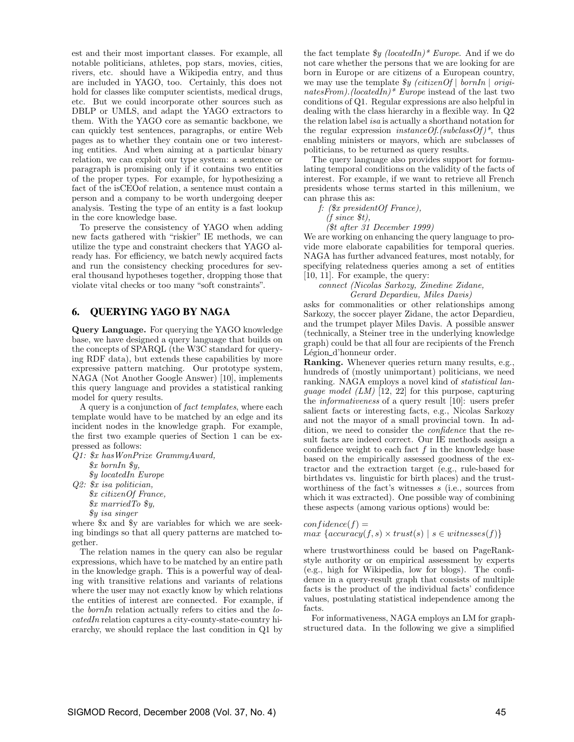est and their most important classes. For example, all notable politicians, athletes, pop stars, movies, cities, rivers, etc. should have a Wikipedia entry, and thus are included in YAGO, too. Certainly, this does not hold for classes like computer scientists, medical drugs, etc. But we could incorporate other sources such as DBLP or UMLS, and adapt the YAGO extractors to them. With the YAGO core as semantic backbone, we can quickly test sentences, paragraphs, or entire Web pages as to whether they contain one or two interesting entities. And when aiming at a particular binary relation, we can exploit our type system: a sentence or paragraph is promising only if it contains two entities of the proper types. For example, for hypothesizing a fact of the isCEOof relation, a sentence must contain a person and a company to be worth undergoing deeper analysis. Testing the type of an entity is a fast lookup in the core knowledge base.

To preserve the consistency of YAGO when adding new facts gathered with "riskier" IE methods, we can utilize the type and constraint checkers that YAGO already has. For efficiency, we batch newly acquired facts and run the consistency checking procedures for several thousand hypotheses together, dropping those that violate vital checks or too many "soft constraints".

## **6. QUERYING YAGO BY NAGA**

Query Language. For querying the YAGO knowledge base, we have designed a query language that builds on the concepts of SPARQL (the W3C standard for querying RDF data), but extends these capabilities by more expressive pattern matching. Our prototype system, NAGA (Not Another Google Answer) [10], implements this query language and provides a statistical ranking model for query results.

A query is a conjunction of *fact templates*, where each template would have to be matched by an edge and its incident nodes in the knowledge graph. For example, the first two example queries of Section 1 can be expressed as follows:

*Q1: \$x hasWonPrize GrammyAward,*

*\$x bornIn \$y,*

*\$y locatedIn Europe*

*Q2: \$x isa politician,*

*\$x citizenOf France,*

*\$x marriedTo \$y,*

*\$y isa singer*

where \$x and \$y are variables for which we are seeking bindings so that all query patterns are matched together.

The relation names in the query can also be regular expressions, which have to be matched by an entire path in the knowledge graph. This is a powerful way of dealing with transitive relations and variants of relations where the user may not exactly know by which relations the entities of interest are connected. For example, if the *bornIn* relation actually refers to cities and the *locatedIn* relation captures a city-county-state-country hierarchy, we should replace the last condition in Q1 by the fact template  $\frac{6}{y}$  *(locatedIn)*<sup>\*</sup> *Europe*. And if we do not care whether the persons that we are looking for are born in Europe or are citizens of a European country, we may use the template *\$y (citizenOf* | *bornIn* | *originatesFrom).(locatedIn)\* Europe* instead of the last two conditions of Q1. Regular expressions are also helpful in dealing with the class hierarchy in a flexible way. In Q2 the relation label *isa* is actually a shorthand notation for the regular expression *instanceOf.(subclassOf)\**, thus enabling ministers or mayors, which are subclasses of politicians, to be returned as query results.

The query language also provides support for formulating temporal conditions on the validity of the facts of interest. For example, if we want to retrieve all French presidents whose terms started in this millenium, we can phrase this as:

*f: (\$x presidentOf France),*

*(f since \$t),*

*(\$t after 31 December 1999)*

We are working on enhancing the query language to provide more elaborate capabilities for temporal queries. NAGA has further advanced features, most notably, for specifying relatedness queries among a set of entities [10, 11]. For example, the query:

*connect (Nicolas Sarkozy, Zinedine Zidane, Gerard Depardieu, Miles Davis)*

asks for commonalities or other relationships among Sarkozy, the soccer player Zidane, the actor Depardieu, and the trumpet player Miles Davis. A possible answer (technically, a Steiner tree in the underlying knowledge graph) could be that all four are recipients of the French Légion\_d'honneur order.

Ranking. Whenever queries return many results, e.g., hundreds of (mostly unimportant) politicians, we need ranking. NAGA employs a novel kind of *statistical language model (LM)* [12, 22] for this purpose, capturing the *informativeness* of a query result [10]: users prefer salient facts or interesting facts, e.g., Nicolas Sarkozy and not the mayor of a small provincial town. In addition, we need to consider the *confidence* that the result facts are indeed correct. Our IE methods assign a confidence weight to each fact  $f$  in the knowledge base based on the empirically assessed goodness of the extractor and the extraction target (e.g., rule-based for birthdates vs. linguistic for birth places) and the trustworthiness of the fact's witnesses  $s$  (i.e., sources from which it was extracted). One possible way of combining these aspects (among various options) would be:

 $confidence(f) =$  $max \{accuracy(f, s) \times trust(s) \mid s \in witnesses(f)\}\$ 

where trustworthiness could be based on PageRankstyle authority or on empirical assessment by experts (e.g., high for Wikipedia, low for blogs). The confidence in a query-result graph that consists of multiple facts is the product of the individual facts' confidence values, postulating statistical independence among the facts.

For informativeness, NAGA employs an LM for graphstructured data. In the following we give a simplified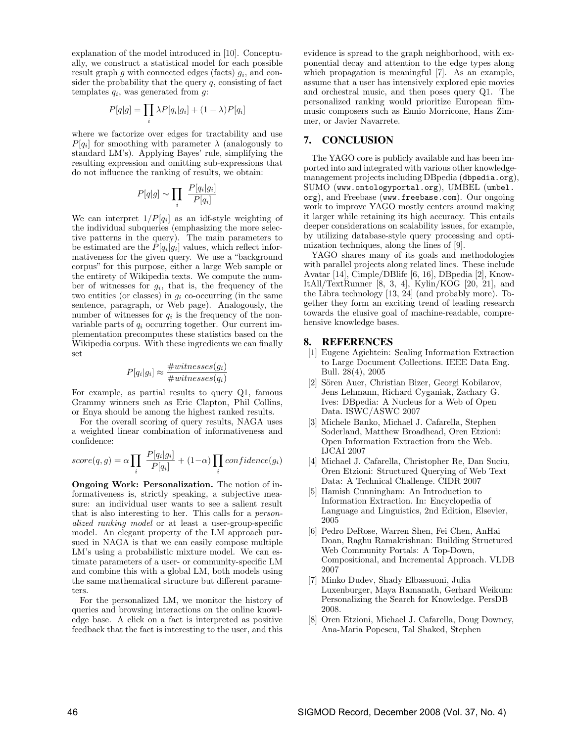explanation of the model introduced in [10]. Conceptually, we construct a statistical model for each possible result graph g with connected edges (facts) g*i*, and consider the probability that the query  $q$ , consisting of fact templates  $q_i$ , was generated from  $g$ :

$$
P[q|g] = \prod_{i} \lambda P[q_i|g_i] + (1 - \lambda)P[q_i]
$$

where we factorize over edges for tractability and use  $P[q_i]$  for smoothing with parameter  $\lambda$  (analogously to standard LM's). Applying Bayes' rule, simplifying the resulting expression and omitting sub-expressions that do not influence the ranking of results, we obtain:

$$
P[q|g] \sim \prod_i \frac{P[q_i|g_i]}{P[q_i]}
$$

We can interpret  $1/P[q_i]$  as an idf-style weighting of the individual subqueries (emphasizing the more selective patterns in the query). The main parameters to be estimated are the  $P[q_i|g_i]$  values, which reflect informativeness for the given query. We use a "background corpus" for this purpose, either a large Web sample or the entirety of Wikipedia texts. We compute the number of witnesses for g*i*, that is, the frequency of the two entities (or classes) in  $g_i$  co-occurring (in the same sentence, paragraph, or Web page). Analogously, the number of witnesses for  $q_i$  is the frequency of the nonvariable parts of q*<sup>i</sup>* occurring together. Our current implementation precomputes these statistics based on the Wikipedia corpus. With these ingredients we can finally set

$$
P[q_i|g_i] \approx \frac{\#witnesses(g_i)}{\#witnesses(g_i)}
$$

For example, as partial results to query Q1, famous Grammy winners such as Eric Clapton, Phil Collins, or Enya should be among the highest ranked results.

For the overall scoring of query results, NAGA uses a weighted linear combination of informativeness and confidence:

$$
score(q,g) = \alpha \prod_{i} \frac{P[q_i|g_i]}{P[q_i]} + (1-\alpha) \prod_{i} confidence(g_i)
$$

Ongoing Work: Personalization. The notion of informativeness is, strictly speaking, a subjective measure: an individual user wants to see a salient result that is also interesting to her. This calls for a *personalized ranking model* or at least a user-group-specific model. An elegant property of the LM approach pursued in NAGA is that we can easily compose multiple LM's using a probabilistic mixture model. We can estimate parameters of a user- or community-specific LM and combine this with a global LM, both models using the same mathematical structure but different parameters.

For the personalized LM, we monitor the history of queries and browsing interactions on the online knowledge base. A click on a fact is interpreted as positive feedback that the fact is interesting to the user, and this evidence is spread to the graph neighborhood, with exponential decay and attention to the edge types along which propagation is meaningful [7]. As an example, assume that a user has intensively explored epic movies and orchestral music, and then poses query Q1. The personalized ranking would prioritize European filmmusic composers such as Ennio Morricone, Hans Zimmer, or Javier Navarrete.

### **7. CONCLUSION**

The YAGO core is publicly available and has been imported into and integrated with various other knowledgemanagement projects including DBpedia (dbpedia.org), SUMO (www.ontologyportal.org), UMBEL (umbel. org), and Freebase (www.freebase.com). Our ongoing work to improve YAGO mostly centers around making it larger while retaining its high accuracy. This entails deeper considerations on scalability issues, for example, by utilizing database-style query processing and optimization techniques, along the lines of [9].

YAGO shares many of its goals and methodologies with parallel projects along related lines. These include Avatar [14], Cimple/DBlife [6, 16], DBpedia [2], Know-ItAll/TextRunner [8, 3, 4], Kylin/KOG [20, 21], and the Libra technology [13, 24] (and probably more). Together they form an exciting trend of leading research towards the elusive goal of machine-readable, comprehensive knowledge bases.

#### **8. REFERENCES**

- [1] Eugene Agichtein: Scaling Information Extraction to Large Document Collections. IEEE Data Eng. Bull. 28(4), 2005
- [2] Sören Auer, Christian Bizer, Georgi Kobilarov, Jens Lehmann, Richard Cyganiak, Zachary G. Ives: DBpedia: A Nucleus for a Web of Open Data. ISWC/ASWC 2007
- [3] Michele Banko, Michael J. Cafarella, Stephen Soderland, Matthew Broadhead, Oren Etzioni: Open Information Extraction from the Web. IJCAI 2007
- [4] Michael J. Cafarella, Christopher Re, Dan Suciu, Oren Etzioni: Structured Querying of Web Text Data: A Technical Challenge. CIDR 2007
- [5] Hamish Cunningham: An Introduction to Information Extraction. In: Encyclopedia of Language and Linguistics, 2nd Edition, Elsevier, 2005
- [6] Pedro DeRose, Warren Shen, Fei Chen, AnHai Doan, Raghu Ramakrishnan: Building Structured Web Community Portals: A Top-Down, Compositional, and Incremental Approach. VLDB 2007
- [7] Minko Dudev, Shady Elbassuoni, Julia Luxenburger, Maya Ramanath, Gerhard Weikum: Personalizing the Search for Knowledge. PersDB 2008.
- [8] Oren Etzioni, Michael J. Cafarella, Doug Downey, Ana-Maria Popescu, Tal Shaked, Stephen